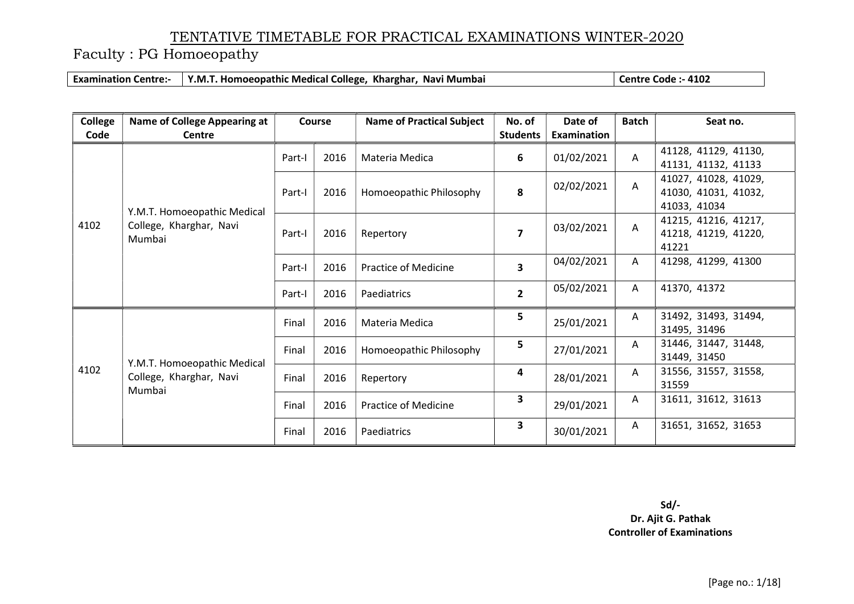Faculty : PG Homoeopathy

Examination Centre:- Y.M.T. Homoeopathic Medical College, Kharghar, Navi Mumbai Centre Code :- 4102

| <b>College</b><br>Code | <b>Name of College Appearing at</b><br>Centre                    |        | Course | <b>Name of Practical Subject</b> | No. of<br><b>Students</b> | Date of<br>Examination | <b>Batch</b>            | Seat no.                                                     |
|------------------------|------------------------------------------------------------------|--------|--------|----------------------------------|---------------------------|------------------------|-------------------------|--------------------------------------------------------------|
|                        |                                                                  | Part-I | 2016   | Materia Medica                   | 6                         | 01/02/2021             | $\overline{\mathsf{A}}$ | 41128, 41129, 41130,<br>41131, 41132, 41133                  |
|                        |                                                                  | Part-I | 2016   | Homoeopathic Philosophy          | 8                         | 02/02/2021             | Α                       | 41027, 41028, 41029,<br>41030, 41031, 41032,<br>41033, 41034 |
| 4102                   | Y.M.T. Homoeopathic Medical<br>College, Kharghar, Navi<br>Mumbai | Part-I | 2016   | Repertory                        | $\overline{7}$            | 03/02/2021             | A                       | 41215, 41216, 41217,<br>41218, 41219, 41220,<br>41221        |
|                        |                                                                  | Part-I | 2016   | <b>Practice of Medicine</b>      | 3                         | 04/02/2021             | A                       | 41298, 41299, 41300                                          |
|                        |                                                                  | Part-I | 2016   | Paediatrics                      | $\overline{2}$            | 05/02/2021             | A                       | 41370, 41372                                                 |
|                        |                                                                  | Final  | 2016   | Materia Medica                   | 5                         | 25/01/2021             | A                       | 31492, 31493, 31494,<br>31495, 31496                         |
| 4102                   | Y.M.T. Homoeopathic Medical<br>College, Kharghar, Navi<br>Mumbai | Final  | 2016   | Homoeopathic Philosophy          | 5                         | 27/01/2021             | A                       | 31446, 31447, 31448,<br>31449, 31450                         |
|                        |                                                                  | Final  | 2016   | Repertory                        | 4                         | 28/01/2021             | A                       | 31556, 31557, 31558,<br>31559                                |
|                        |                                                                  | Final  | 2016   | <b>Practice of Medicine</b>      | 3                         | 29/01/2021             | A                       | 31611, 31612, 31613                                          |
|                        |                                                                  | Final  | 2016   | Paediatrics                      | 3                         | 30/01/2021             | A                       | 31651, 31652, 31653                                          |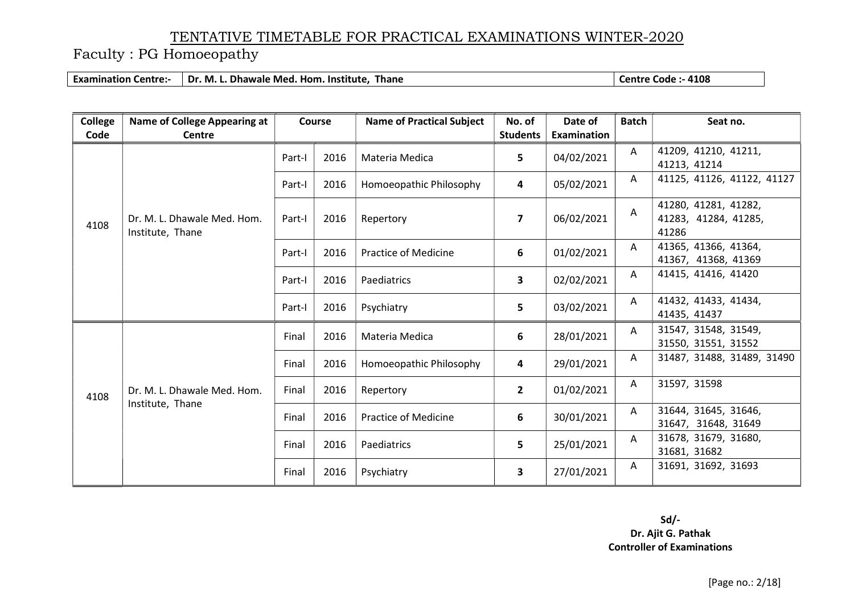Faculty : PG Homoeopathy

Examination Centre:- Dr. M. L. Dhawale Med. Hom. Institute, Thane Canadian Centre Code :- 4108

| <b>College</b> | <b>Name of College Appearing at</b> |        | Course | <b>Name of Practical Subject</b> | No. of          | Date of     | <b>Batch</b> | Seat no.                   |
|----------------|-------------------------------------|--------|--------|----------------------------------|-----------------|-------------|--------------|----------------------------|
| Code           | Centre                              |        |        |                                  | <b>Students</b> | Examination |              |                            |
|                |                                     | Part-I | 2016   | Materia Medica                   | 5               | 04/02/2021  | A            | 41209, 41210, 41211,       |
|                |                                     |        |        |                                  |                 |             |              | 41213, 41214               |
|                |                                     | Part-I | 2016   | Homoeopathic Philosophy          | 4               | 05/02/2021  | A            | 41125, 41126, 41122, 41127 |
|                |                                     |        |        |                                  |                 |             |              | 41280, 41281, 41282,       |
| 4108           | Dr. M. L. Dhawale Med. Hom.         | Part-I | 2016   | Repertory                        | $\overline{7}$  | 06/02/2021  | A            | 41283, 41284, 41285,       |
|                | Institute, Thane                    |        |        |                                  |                 |             |              | 41286                      |
|                |                                     | Part-I | 2016   | <b>Practice of Medicine</b>      | 6               | 01/02/2021  | A            | 41365, 41366, 41364,       |
|                |                                     |        |        |                                  |                 |             |              | 41367, 41368, 41369        |
|                |                                     | Part-I | 2016   | Paediatrics                      | 3               | 02/02/2021  | A            | 41415, 41416, 41420        |
|                |                                     |        |        |                                  | 5               |             | A            | 41432, 41433, 41434,       |
|                |                                     | Part-I | 2016   | Psychiatry                       |                 | 03/02/2021  |              | 41435, 41437               |
|                |                                     |        | 2016   |                                  | 6               |             | A            | 31547, 31548, 31549,       |
|                |                                     | Final  |        | Materia Medica                   |                 | 28/01/2021  |              | 31550, 31551, 31552        |
|                |                                     | Final  | 2016   | Homoeopathic Philosophy          | 4               | 29/01/2021  | Α            | 31487, 31488, 31489, 31490 |
| 4108           | Dr. M. L. Dhawale Med. Hom.         | Final  | 2016   | Repertory                        | $\overline{2}$  | 01/02/2021  | A            | 31597, 31598               |
|                | Institute, Thane                    | Final  | 2016   | <b>Practice of Medicine</b>      | 6               | 30/01/2021  | A            | 31644, 31645, 31646,       |
|                |                                     |        |        |                                  |                 |             |              | 31647, 31648, 31649        |
|                |                                     | Final  | 2016   | Paediatrics                      | 5               | 25/01/2021  | A            | 31678, 31679, 31680,       |
|                |                                     |        |        |                                  |                 |             |              | 31681, 31682               |
|                |                                     | Final  | 2016   | Psychiatry                       | 3               | 27/01/2021  | A            | 31691, 31692, 31693        |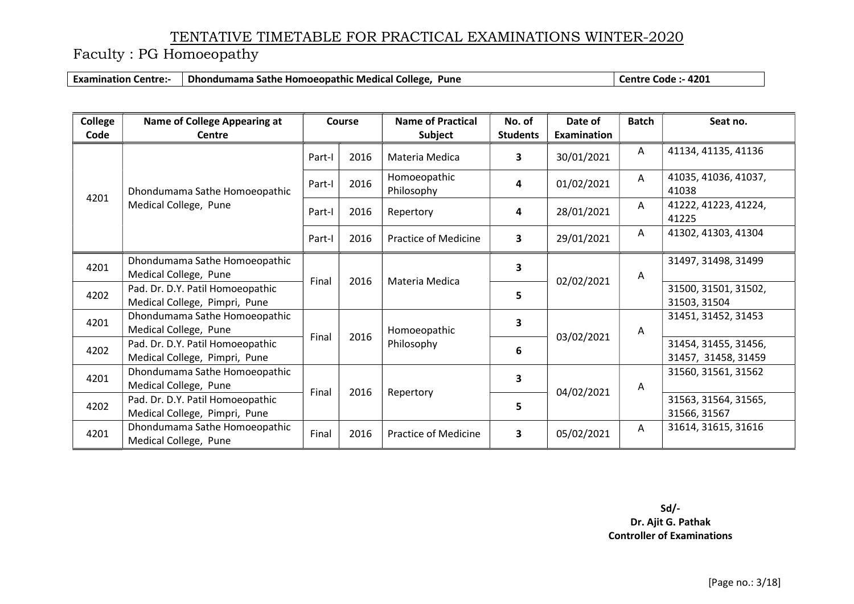Faculty : PG Homoeopathy

Examination Centre:- Dhondumama Sathe Homoeopathic Medical College, Pune Collection Centre Code :- 4201

| College<br>Code | <b>Name of College Appearing at</b><br><b>Centre</b>              |        | Course | <b>Name of Practical</b><br><b>Subject</b> | No. of<br><b>Students</b> | Date of<br>Examination | <b>Batch</b>                                | Seat no.                             |
|-----------------|-------------------------------------------------------------------|--------|--------|--------------------------------------------|---------------------------|------------------------|---------------------------------------------|--------------------------------------|
|                 |                                                                   | Part-I | 2016   | Materia Medica                             | 3                         | 30/01/2021             | A                                           | 41134, 41135, 41136                  |
|                 | Dhondumama Sathe Homoeopathic                                     | Part-I | 2016   | Homoeopathic<br>Philosophy                 | 4                         | 01/02/2021             | $\mathsf{A}$                                | 41035, 41036, 41037,<br>41038        |
| 4201            | Medical College, Pune                                             | Part-I | 2016   | Repertory                                  | 4                         | 28/01/2021             | A                                           | 41222, 41223, 41224,<br>41225        |
|                 |                                                                   | Part-I | 2016   | <b>Practice of Medicine</b>                | 3                         | 29/01/2021             | A                                           | 41302, 41303, 41304                  |
| 4201            | Dhondumama Sathe Homoeopathic<br>Medical College, Pune            |        |        |                                            | 3                         |                        | A                                           | 31497, 31498, 31499                  |
| 4202            | Pad. Dr. D.Y. Patil Homoeopathic<br>Medical College, Pimpri, Pune | Final  | 2016   | Materia Medica                             | 5                         | 02/02/2021             |                                             | 31500, 31501, 31502,<br>31503, 31504 |
| 4201            | Dhondumama Sathe Homoeopathic<br>Medical College, Pune            | Final  |        | Homoeopathic                               | 3                         |                        | A                                           | 31451, 31452, 31453                  |
| 4202            | Pad. Dr. D.Y. Patil Homoeopathic<br>Medical College, Pimpri, Pune |        | 2016   | Philosophy                                 | 6                         | 03/02/2021             | 31454, 31455, 31456,<br>31457, 31458, 31459 |                                      |
| 4201            | Dhondumama Sathe Homoeopathic<br>Medical College, Pune            | Final  | 2016   |                                            | 3                         | 04/02/2021             | A                                           | 31560, 31561, 31562                  |
| 4202            | Pad. Dr. D.Y. Patil Homoeopathic<br>Medical College, Pimpri, Pune |        |        | Repertory                                  | 5                         |                        |                                             | 31563, 31564, 31565,<br>31566, 31567 |
| 4201            | Dhondumama Sathe Homoeopathic<br>Medical College, Pune            | Final  | 2016   | Practice of Medicine                       | 3                         | 05/02/2021             | A                                           | 31614, 31615, 31616                  |

Sd/- Dr. Ajit G. Pathak

Controller of Examinations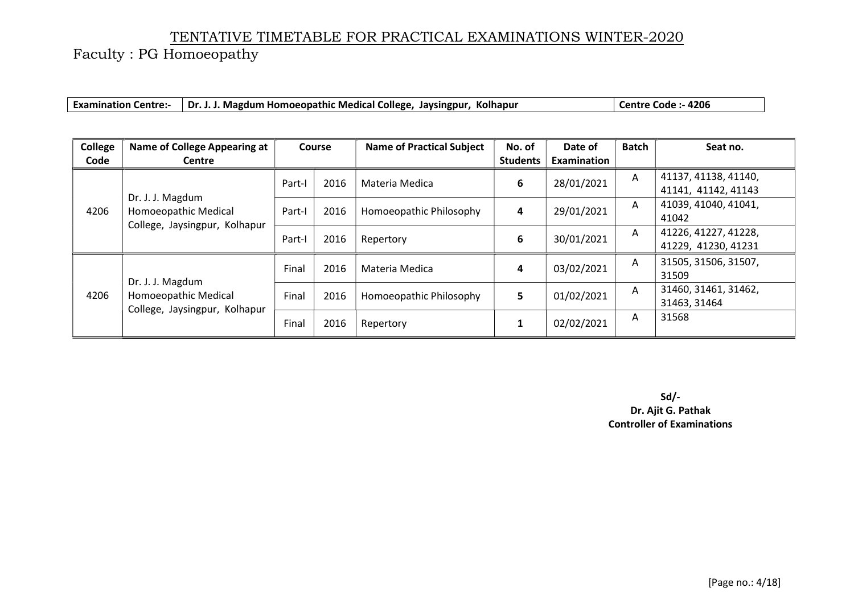Faculty : PG Homoeopathy

|  | Examination Centre:-   Dr. J. J. Magdum Homoeopathic Medical College, Jaysingpur, Kolhapur | Centre Code: - 4206 |
|--|--------------------------------------------------------------------------------------------|---------------------|
|--|--------------------------------------------------------------------------------------------|---------------------|

| <b>College</b>               | Name of College Appearing at             |        | <b>Course</b> | <b>Name of Practical Subject</b> | No. of          | Date of     | <b>Batch</b> | Seat no.             |
|------------------------------|------------------------------------------|--------|---------------|----------------------------------|-----------------|-------------|--------------|----------------------|
| Code                         | Centre                                   |        |               |                                  | <b>Students</b> | Examination |              |                      |
|                              |                                          | Part-I | 2016          | Materia Medica                   | 6               | 28/01/2021  | A            | 41137, 41138, 41140, |
|                              |                                          |        |               |                                  |                 |             |              | 41141, 41142, 41143  |
|                              | Dr. J. J. Magdum                         |        | 2016          | Homoeopathic Philosophy          | 4               | 29/01/2021  | A            | 41039, 41040, 41041, |
| 4206<br>Homoeopathic Medical | Part-I                                   |        |               |                                  |                 |             | 41042        |                      |
|                              | College, Jaysingpur, Kolhapur            | Part-I | 2016          | Repertory                        | 6               | 30/01/2021  | A            | 41226, 41227, 41228, |
|                              |                                          |        |               |                                  |                 |             |              | 41229, 41230, 41231  |
|                              |                                          |        |               |                                  |                 |             | A            | 31505, 31506, 31507, |
|                              |                                          | Final  | 2016          | Materia Medica                   | 4               | 03/02/2021  |              | 31509                |
| 4206                         | Dr. J. J. Magdum<br>Homoeopathic Medical | Final  | 2016          |                                  |                 | 01/02/2021  | A            | 31460, 31461, 31462, |
|                              | College, Jaysingpur, Kolhapur            |        |               | Homoeopathic Philosophy          | 5               |             |              | 31463, 31464         |
|                              |                                          | Final  | 2016          | Repertory                        |                 | 02/02/2021  | A            | 31568                |
|                              |                                          |        |               |                                  |                 |             |              |                      |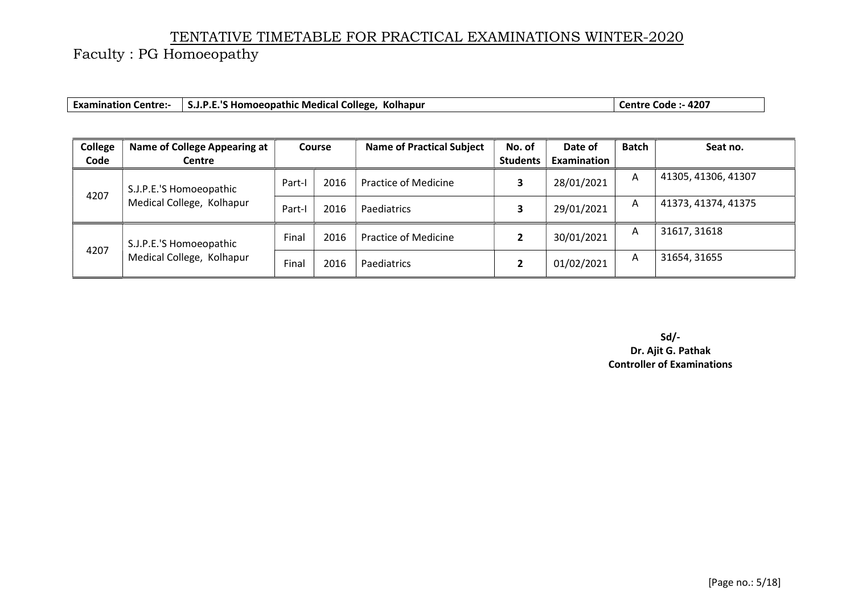Faculty : PG Homoeopathy

|  | <b>Examination Centre:</b> | <b>S.J.P.E.'S Homoeopathic Medical College,</b><br>Kolhapur | .- 4207<br>Code<br>entre |
|--|----------------------------|-------------------------------------------------------------|--------------------------|
|--|----------------------------|-------------------------------------------------------------|--------------------------|

| College | Name of College Appearing at | <b>Course</b> |      | <b>Name of Practical Subject</b> | No. of          | Date of     | Batch | Seat no.            |
|---------|------------------------------|---------------|------|----------------------------------|-----------------|-------------|-------|---------------------|
| Code    | <b>Centre</b>                |               |      |                                  | <b>Students</b> | Examination |       |                     |
| 4207    | S.J.P.E.'S Homoeopathic      | Part-         | 2016 | <b>Practice of Medicine</b>      |                 | 28/01/2021  | A     | 41305, 41306, 41307 |
|         | Medical College, Kolhapur    | Part-         | 2016 | Paediatrics                      |                 | 29/01/2021  | A     | 41373, 41374, 41375 |
| 4207    | S.J.P.E.'S Homoeopathic      | Final         | 2016 | <b>Practice of Medicine</b>      |                 | 30/01/2021  | A     | 31617, 31618        |
|         | Medical College, Kolhapur    | Final         | 2016 | Paediatrics                      |                 | 01/02/2021  | A     | 31654, 31655        |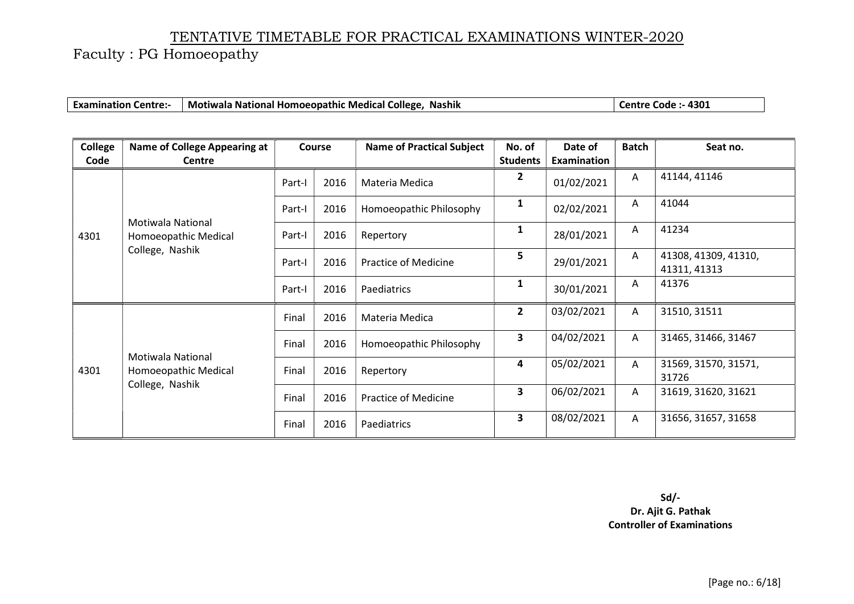Faculty : PG Homoeopathy

| <b>Examination Centre:-</b> | Motiwala National Homoeopathic Medical College, Nashik | Centre Code: - 4301 |
|-----------------------------|--------------------------------------------------------|---------------------|
|-----------------------------|--------------------------------------------------------|---------------------|

| College<br>Code | <b>Name of College Appearing at</b><br><b>Centre</b>         |        | <b>Course</b> | <b>Name of Practical Subject</b> | No. of<br><b>Students</b> | Date of<br>Examination | <b>Batch</b> | Seat no.                             |
|-----------------|--------------------------------------------------------------|--------|---------------|----------------------------------|---------------------------|------------------------|--------------|--------------------------------------|
|                 |                                                              | Part-I | 2016          | Materia Medica                   | 2                         | 01/02/2021             | A            | 41144, 41146                         |
|                 |                                                              | Part-I | 2016          | Homoeopathic Philosophy          | 1                         | 02/02/2021             | $\mathsf{A}$ | 41044                                |
| 4301            | <b>Motiwala National</b><br>Homoeopathic Medical             | Part-I | 2016          | Repertory                        | 1                         | 28/01/2021             | A            | 41234                                |
|                 | College, Nashik                                              | Part-I | 2016          | <b>Practice of Medicine</b>      | 5                         | 29/01/2021             | A            | 41308, 41309, 41310,<br>41311, 41313 |
|                 |                                                              | Part-I | 2016          | Paediatrics                      | 1                         | 30/01/2021             | $\mathsf{A}$ | 41376                                |
|                 | Motiwala National<br>Homoeopathic Medical<br>College, Nashik | Final  | 2016          | Materia Medica                   | $\overline{2}$            | 03/02/2021             | Α            | 31510, 31511                         |
|                 |                                                              | Final  | 2016          | Homoeopathic Philosophy          | 3                         | 04/02/2021             | A            | 31465, 31466, 31467                  |
| 4301            |                                                              | Final  | 2016          | Repertory                        | 4                         | 05/02/2021             | A            | 31569, 31570, 31571,<br>31726        |
|                 |                                                              | Final  | 2016          | <b>Practice of Medicine</b>      | 3                         | 06/02/2021             | A            | 31619, 31620, 31621                  |
|                 |                                                              | Final  | 2016          | Paediatrics                      | 3                         | 08/02/2021             | A            | 31656, 31657, 31658                  |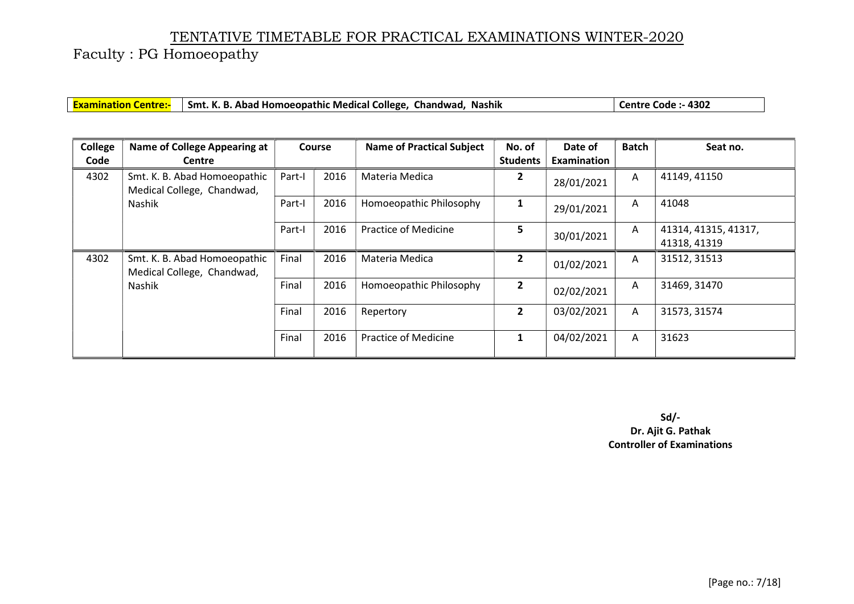Faculty : PG Homoeopathy

|  | <b>Examination Centre:-</b> Smt. K. B. Abad Homoeopathic Medical College, Chandwad, Nashik | Centre Code :- 4302 |
|--|--------------------------------------------------------------------------------------------|---------------------|
|--|--------------------------------------------------------------------------------------------|---------------------|

| College | <b>Name of College Appearing at</b>                        |        | <b>Course</b> | <b>Name of Practical Subject</b> | No. of          | Date of     | <b>Batch</b> | Seat no.             |
|---------|------------------------------------------------------------|--------|---------------|----------------------------------|-----------------|-------------|--------------|----------------------|
| Code    | <b>Centre</b>                                              |        |               |                                  | <b>Students</b> | Examination |              |                      |
| 4302    | Smt. K. B. Abad Homoeopathic<br>Medical College, Chandwad, | Part-I | 2016          | Materia Medica                   | $\overline{2}$  | 28/01/2021  | A            | 41149, 41150         |
|         | Nashik                                                     | Part-I | 2016          | Homoeopathic Philosophy          | $\mathbf{1}$    | 29/01/2021  | A            | 41048                |
|         |                                                            | Part-I | 2016          | <b>Practice of Medicine</b>      | 5               | 30/01/2021  | $\mathsf{A}$ | 41314, 41315, 41317, |
|         |                                                            |        |               |                                  |                 |             |              | 41318, 41319         |
| 4302    | Smt. K. B. Abad Homoeopathic<br>Medical College, Chandwad, | Final  | 2016          | Materia Medica                   | $\overline{2}$  | 01/02/2021  | A            | 31512, 31513         |
|         | Nashik                                                     | Final  | 2016          | Homoeopathic Philosophy          | $\overline{2}$  | 02/02/2021  | $\mathsf{A}$ | 31469, 31470         |
|         |                                                            | Final  | 2016          | Repertory                        | $\overline{2}$  | 03/02/2021  | A            | 31573, 31574         |
|         |                                                            | Final  | 2016          | <b>Practice of Medicine</b>      | $\mathbf{1}$    | 04/02/2021  | $\mathsf{A}$ | 31623                |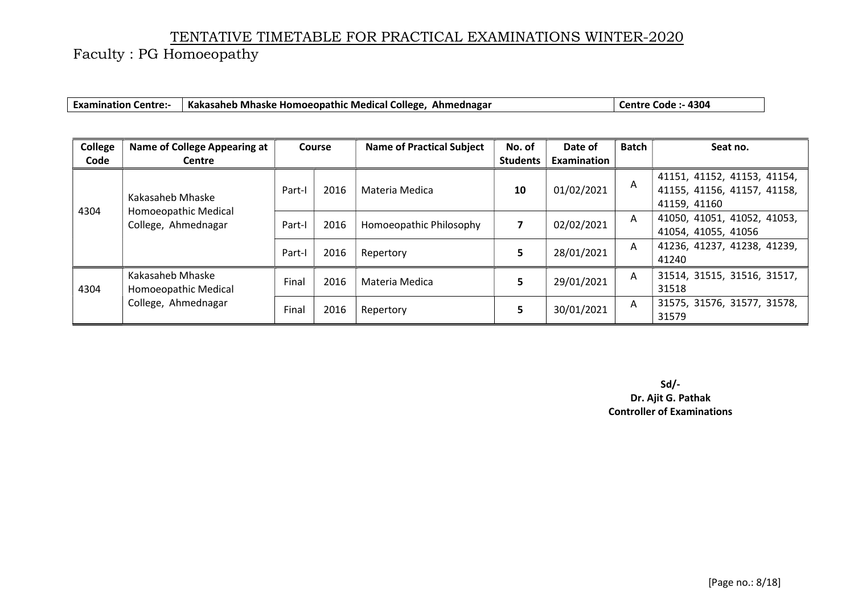Faculty : PG Homoeopathy

| <b>Examination Centre:-</b> | Kakasaheb Mhaske Homoeopathic Medical College, Ahmednagar | Centre Code :- 4304 |
|-----------------------------|-----------------------------------------------------------|---------------------|
|-----------------------------|-----------------------------------------------------------|---------------------|

| College | <b>Name of College Appearing at</b>                             | <b>Course</b>  |      | <b>Name of Practical Subject</b> | No. of          | Date of     | <b>Batch</b> | Seat no.                    |
|---------|-----------------------------------------------------------------|----------------|------|----------------------------------|-----------------|-------------|--------------|-----------------------------|
| Code    | <b>Centre</b>                                                   |                |      |                                  | <b>Students</b> | Examination |              |                             |
| 4304    |                                                                 |                |      |                                  |                 |             | A            | 41151, 41152, 41153, 41154, |
|         |                                                                 | Part-I         | 2016 | Materia Medica                   | 10              | 01/02/2021  |              | 41155, 41156, 41157, 41158, |
|         | Kakasaheb Mhaske<br>Homoeopathic Medical<br>College, Ahmednagar |                |      |                                  |                 |             |              | 41159, 41160                |
|         |                                                                 | 2016<br>Part-I |      | Homoeopathic Philosophy          |                 | 02/02/2021  | A            | 41050, 41051, 41052, 41053, |
|         |                                                                 |                |      |                                  |                 |             |              | 41054, 41055, 41056         |
|         |                                                                 |                | 2016 |                                  | 5.              | 28/01/2021  | A            | 41236, 41237, 41238, 41239, |
|         |                                                                 | Part-I         |      | Repertory                        |                 |             |              | 41240                       |
|         | Kakasaheb Mhaske                                                | Final          | 2016 | Materia Medica                   | 5.              |             | A            | 31514, 31515, 31516, 31517, |
| 4304    | Homoeopathic Medical                                            |                |      |                                  |                 | 29/01/2021  |              | 31518                       |
|         | College, Ahmednagar                                             | Final          | 2016 |                                  | 5               | 30/01/2021  | $\mathsf{A}$ | 31575, 31576, 31577, 31578, |
|         |                                                                 |                |      | Repertory                        |                 |             |              | 31579                       |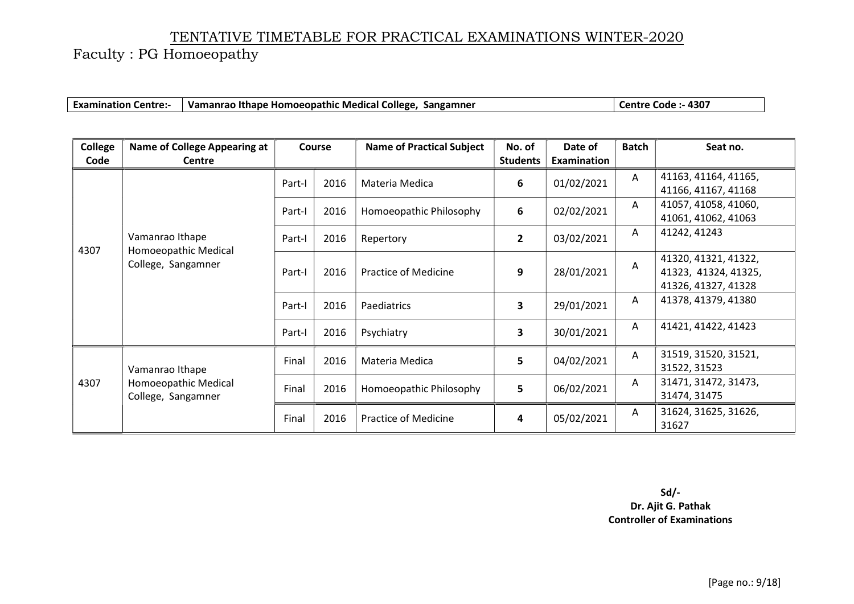Faculty : PG Homoeopathy

| <b>Examination Centre:-</b> | Vamanrao Ithape Homoeopathic Medical College, Sangamner | Centre Code :- 4307 |
|-----------------------------|---------------------------------------------------------|---------------------|
|-----------------------------|---------------------------------------------------------|---------------------|

| College<br>Code | <b>Name of College Appearing at</b><br><b>Centre</b> |                                               | <b>Course</b> | <b>Name of Practical Subject</b> | No. of<br><b>Students</b> | Date of<br>Examination | <b>Batch</b>         | Seat no.             |
|-----------------|------------------------------------------------------|-----------------------------------------------|---------------|----------------------------------|---------------------------|------------------------|----------------------|----------------------|
|                 |                                                      |                                               |               |                                  |                           |                        |                      |                      |
|                 |                                                      | Part-I                                        | 2016          | Materia Medica                   | 6                         | 01/02/2021             | A                    | 41163, 41164, 41165, |
|                 |                                                      |                                               |               |                                  |                           |                        |                      | 41166, 41167, 41168  |
| 4307            |                                                      | Part-I                                        | 2016          | Homoeopathic Philosophy          | 6                         | 02/02/2021             | A                    | 41057, 41058, 41060, |
|                 |                                                      |                                               |               |                                  |                           |                        |                      | 41061, 41062, 41063  |
|                 | Vamanrao Ithape                                      |                                               |               |                                  |                           |                        | A                    | 41242, 41243         |
|                 |                                                      | Part-I                                        | 2016          | Repertory                        | $\overline{2}$            | 03/02/2021             |                      |                      |
|                 | Homoeopathic Medical<br>College, Sangamner           | 2016<br><b>Practice of Medicine</b><br>Part-I |               |                                  |                           |                        | 41320, 41321, 41322, |                      |
|                 |                                                      |                                               |               |                                  | 9                         | 28/01/2021             | Α                    | 41323, 41324, 41325, |
|                 |                                                      |                                               |               |                                  |                           |                        |                      | 41326, 41327, 41328  |
|                 |                                                      |                                               |               |                                  |                           |                        | A                    | 41378, 41379, 41380  |
|                 |                                                      | Part-I                                        | 2016          | Paediatrics                      | 3                         | 29/01/2021             |                      |                      |
|                 |                                                      |                                               |               |                                  |                           |                        | A                    | 41421, 41422, 41423  |
|                 |                                                      | Part-I                                        | 2016          | Psychiatry                       | 3                         | 30/01/2021             |                      |                      |
|                 |                                                      |                                               |               |                                  |                           |                        | A                    | 31519, 31520, 31521, |
|                 | Vamanrao Ithape                                      | Final                                         | 2016          | Materia Medica                   | 5                         | 04/02/2021             |                      | 31522, 31523         |
| 4307            | Homoeopathic Medical                                 |                                               |               |                                  |                           |                        | A                    | 31471, 31472, 31473, |
|                 | College, Sangamner                                   | Final                                         | 2016          | Homoeopathic Philosophy          | 5                         | 06/02/2021             |                      | 31474, 31475         |
|                 |                                                      |                                               |               |                                  |                           |                        |                      |                      |
|                 |                                                      | Final                                         | 2016          | <b>Practice of Medicine</b>      | 4                         | 05/02/2021             | A                    | 31624, 31625, 31626, |
|                 |                                                      |                                               |               |                                  |                           |                        |                      | 31627                |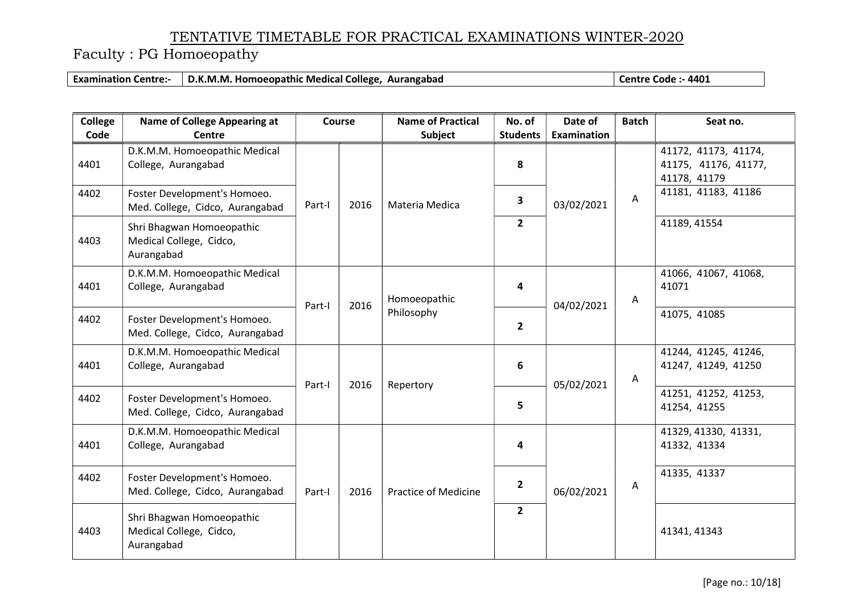Faculty : PG Homoeopathy

Examination Centre:- D.K.M.M. Homoeopathic Medical College, Aurangabad Centre Code :- 4401

| <b>College</b> | <b>Name of College Appearing at</b>                                | Course |      | <b>Name of Practical</b>    | No. of          | Date of            | <b>Batch</b> | Seat no.                                                     |
|----------------|--------------------------------------------------------------------|--------|------|-----------------------------|-----------------|--------------------|--------------|--------------------------------------------------------------|
| Code           | <b>Centre</b>                                                      |        |      | <b>Subject</b>              | <b>Students</b> | <b>Examination</b> |              |                                                              |
| 4401           | D.K.M.M. Homoeopathic Medical<br>College, Aurangabad               |        |      |                             | 8               |                    |              | 41172, 41173, 41174,<br>41175, 41176, 41177,<br>41178, 41179 |
| 4402           | Foster Development's Homoeo.<br>Med. College, Cidco, Aurangabad    | Part-I | 2016 | Materia Medica              | 3               | 03/02/2021         | $\mathsf{A}$ | 41181, 41183, 41186                                          |
| 4403           | Shri Bhagwan Homoeopathic<br>Medical College, Cidco,<br>Aurangabad |        |      |                             | $\overline{2}$  |                    |              | 41189, 41554                                                 |
| 4401           | D.K.M.M. Homoeopathic Medical<br>College, Aurangabad               | Part-I | 2016 | Homoeopathic<br>Philosophy  | 4               | 04/02/2021         | Α            | 41066, 41067, 41068,<br>41071                                |
| 4402           | Foster Development's Homoeo.<br>Med. College, Cidco, Aurangabad    |        |      |                             | $\mathbf{2}$    |                    |              | 41075, 41085                                                 |
| 4401           | D.K.M.M. Homoeopathic Medical<br>College, Aurangabad               | Part-I | 2016 | Repertory                   | 6               | 05/02/2021         | A            | 41244, 41245, 41246,<br>41247, 41249, 41250                  |
| 4402           | Foster Development's Homoeo.<br>Med. College, Cidco, Aurangabad    |        |      |                             | 5               |                    |              | 41251, 41252, 41253,<br>41254, 41255                         |
| 4401           | D.K.M.M. Homoeopathic Medical<br>College, Aurangabad               |        |      |                             | 4               |                    |              | 41329, 41330, 41331,<br>41332, 41334                         |
| 4402           | Foster Development's Homoeo.<br>Med. College, Cidco, Aurangabad    | Part-I | 2016 | <b>Practice of Medicine</b> | $\overline{2}$  | 06/02/2021         | A            | 41335, 41337                                                 |
| 4403           | Shri Bhagwan Homoeopathic<br>Medical College, Cidco,<br>Aurangabad |        |      |                             | $\mathbf{2}$    |                    |              | 41341, 41343                                                 |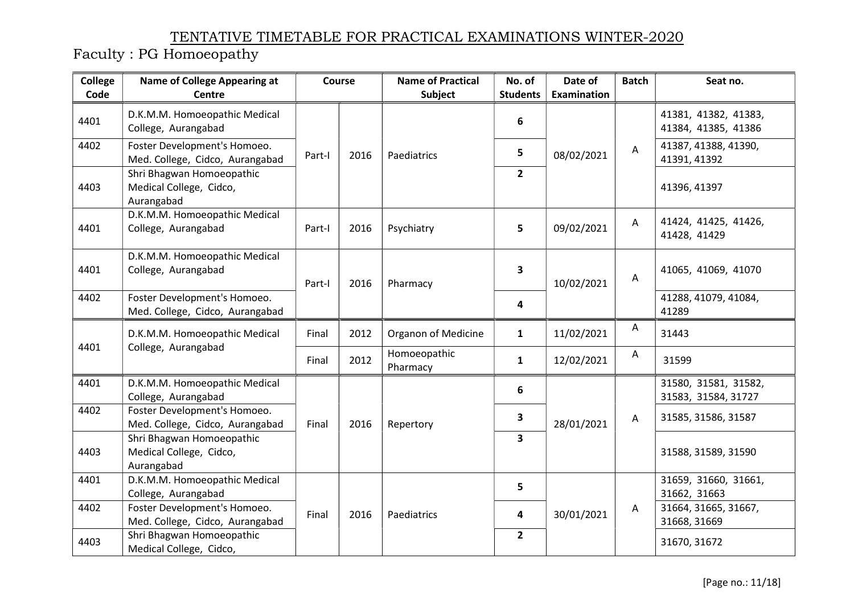| <b>College</b> | <b>Name of College Appearing at</b>                                | Course |      | <b>Name of Practical</b> | No. of                  | Date of            | <b>Batch</b> | Seat no.                                    |
|----------------|--------------------------------------------------------------------|--------|------|--------------------------|-------------------------|--------------------|--------------|---------------------------------------------|
| Code           | <b>Centre</b>                                                      |        |      | <b>Subject</b>           | <b>Students</b>         | <b>Examination</b> |              |                                             |
| 4401           | D.K.M.M. Homoeopathic Medical<br>College, Aurangabad               |        |      |                          | 6                       |                    |              | 41381, 41382, 41383,<br>41384, 41385, 41386 |
| 4402           | Foster Development's Homoeo.<br>Med. College, Cidco, Aurangabad    | Part-I | 2016 | Paediatrics              | 5                       | 08/02/2021         | A            | 41387, 41388, 41390,<br>41391, 41392        |
| 4403           | Shri Bhagwan Homoeopathic<br>Medical College, Cidco,<br>Aurangabad |        |      |                          | $2^{\circ}$             |                    |              | 41396, 41397                                |
| 4401           | D.K.M.M. Homoeopathic Medical<br>College, Aurangabad               | Part-I | 2016 | Psychiatry               | 5                       | 09/02/2021         | Α            | 41424, 41425, 41426,<br>41428, 41429        |
| 4401           | D.K.M.M. Homoeopathic Medical<br>College, Aurangabad               | Part-I | 2016 | Pharmacy                 | $\overline{\mathbf{3}}$ | 10/02/2021         | A            | 41065, 41069, 41070                         |
| 4402           | Foster Development's Homoeo.<br>Med. College, Cidco, Aurangabad    |        |      |                          | 4                       |                    |              | 41288, 41079, 41084,<br>41289               |
|                | D.K.M.M. Homoeopathic Medical                                      | Final  | 2012 | Organon of Medicine      | $\mathbf{1}$            | 11/02/2021         | A            | 31443                                       |
| 4401           | College, Aurangabad                                                | Final  | 2012 | Homoeopathic<br>Pharmacy | $\mathbf{1}$            | 12/02/2021         | A            | 31599                                       |
| 4401           | D.K.M.M. Homoeopathic Medical<br>College, Aurangabad               |        |      |                          | 6                       |                    |              | 31580, 31581, 31582,<br>31583, 31584, 31727 |
| 4402           | Foster Development's Homoeo.<br>Med. College, Cidco, Aurangabad    | Final  | 2016 | Repertory                | 3                       | 28/01/2021         | A            | 31585, 31586, 31587                         |
| 4403           | Shri Bhagwan Homoeopathic<br>Medical College, Cidco,<br>Aurangabad |        |      |                          | $\overline{\mathbf{3}}$ |                    |              | 31588, 31589, 31590                         |
| 4401           | D.K.M.M. Homoeopathic Medical<br>College, Aurangabad               |        |      |                          | 5                       |                    |              | 31659, 31660, 31661,<br>31662, 31663        |
| 4402           | Foster Development's Homoeo.<br>Med. College, Cidco, Aurangabad    | Final  | 2016 | Paediatrics              | 4                       | 30/01/2021         | A            | 31664, 31665, 31667,<br>31668, 31669        |
| 4403           | Shri Bhagwan Homoeopathic<br>Medical College, Cidco,               |        |      |                          | $\overline{2}$          |                    |              | 31670, 31672                                |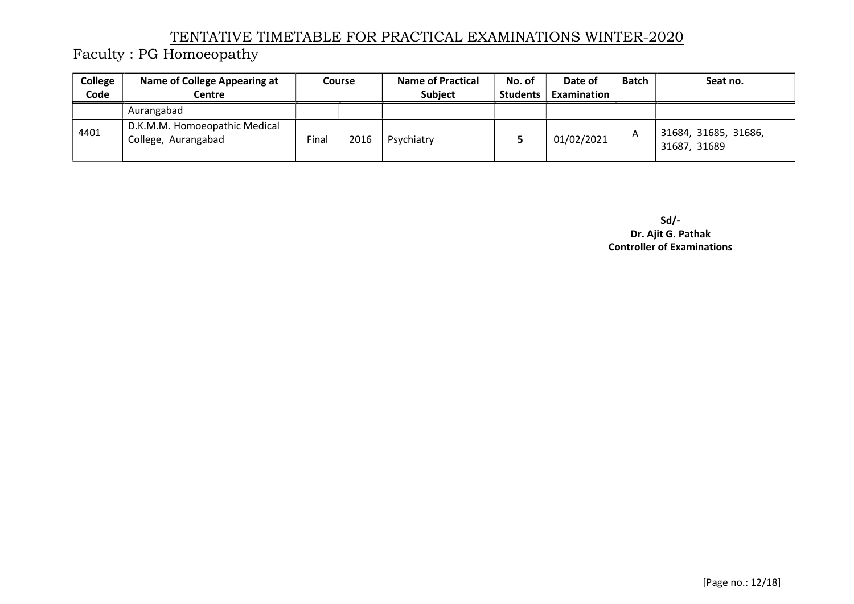Faculty : PG Homoeopathy

| College<br>Code | <b>Name of College Appearing at</b><br>Centre        | <b>Course</b> |      | <b>Name of Practical</b><br><b>Subject</b> | No. of<br><b>Students</b> | Date of<br>Examination | <b>Batch</b> | Seat no.                             |
|-----------------|------------------------------------------------------|---------------|------|--------------------------------------------|---------------------------|------------------------|--------------|--------------------------------------|
|                 | Aurangabad                                           |               |      |                                            |                           |                        |              |                                      |
| 4401            | D.K.M.M. Homoeopathic Medical<br>College, Aurangabad | Final         | 2016 | Psychiatry                                 |                           | 01/02/2021             | A            | 31684, 31685, 31686,<br>31687, 31689 |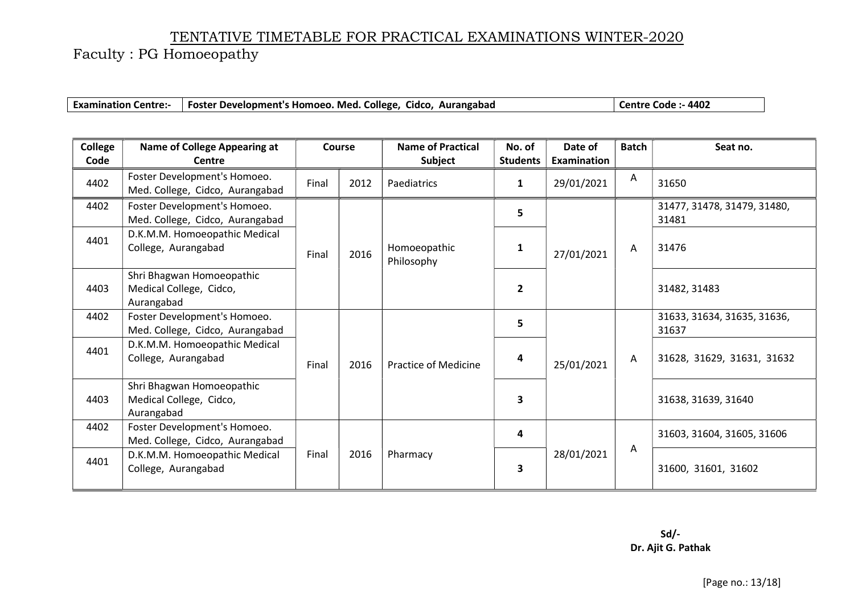|  | Examination Centre:-   Foster Development's Homoeo. Med. College, Cidco, Aurangabad | Centre Code :- 4402 |
|--|-------------------------------------------------------------------------------------|---------------------|
|--|-------------------------------------------------------------------------------------|---------------------|

| College<br>Code | <b>Name of College Appearing at</b><br>Centre                      | <b>Course</b> |      | <b>Name of Practical</b><br>Subject | No. of<br><b>Students</b> | Date of<br><b>Examination</b> | <b>Batch</b> | Seat no.                             |
|-----------------|--------------------------------------------------------------------|---------------|------|-------------------------------------|---------------------------|-------------------------------|--------------|--------------------------------------|
| 4402            | Foster Development's Homoeo.<br>Med. College, Cidco, Aurangabad    | Final         | 2012 | Paediatrics                         | $\mathbf{1}$              | 29/01/2021                    | A            | 31650                                |
| 4402            | Foster Development's Homoeo.<br>Med. College, Cidco, Aurangabad    |               |      |                                     | 5                         |                               |              | 31477, 31478, 31479, 31480,<br>31481 |
| 4401            | D.K.M.M. Homoeopathic Medical<br>College, Aurangabad               | Final         | 2016 | Homoeopathic<br>Philosophy          | 1                         | 27/01/2021                    | Α            | 31476                                |
| 4403            | Shri Bhagwan Homoeopathic<br>Medical College, Cidco,<br>Aurangabad |               |      |                                     | $\overline{2}$            |                               |              | 31482, 31483                         |
| 4402            | Foster Development's Homoeo.<br>Med. College, Cidco, Aurangabad    |               |      |                                     | 5                         |                               |              | 31633, 31634, 31635, 31636,<br>31637 |
| 4401            | D.K.M.M. Homoeopathic Medical<br>College, Aurangabad               | Final         | 2016 | <b>Practice of Medicine</b>         | 4                         | 25/01/2021                    | $\mathsf{A}$ | 31628, 31629, 31631, 31632           |
| 4403            | Shri Bhagwan Homoeopathic<br>Medical College, Cidco,<br>Aurangabad |               |      |                                     | 3                         |                               |              | 31638, 31639, 31640                  |
| 4402            | Foster Development's Homoeo.<br>Med. College, Cidco, Aurangabad    |               | 2016 | Pharmacy                            | 4                         | 28/01/2021                    |              | 31603, 31604, 31605, 31606           |
| 4401            | D.K.M.M. Homoeopathic Medical<br>College, Aurangabad               | Final         |      |                                     | 3                         |                               | A            | 31600, 31601, 31602                  |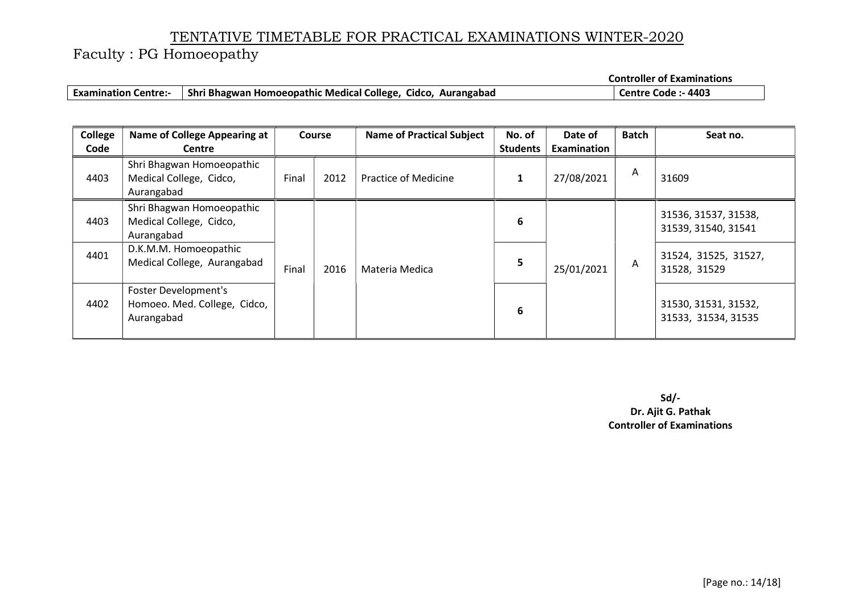Faculty : PG Homoeopathy

Controller of Examinations

| <b>Examination Centre:-</b> | Shri Bhagwan Homoeopathic Medical College, Cidco, Aurangabad | Centre Code :- 4403 |
|-----------------------------|--------------------------------------------------------------|---------------------|
|-----------------------------|--------------------------------------------------------------|---------------------|

| College<br>Code | <b>Name of College Appearing at</b><br>Centre                      |       | <b>Course</b> | <b>Name of Practical Subject</b> | No. of<br><b>Students</b> | Date of<br>Examination | <b>Batch</b> | Seat no.                                    |
|-----------------|--------------------------------------------------------------------|-------|---------------|----------------------------------|---------------------------|------------------------|--------------|---------------------------------------------|
| 4403            | Shri Bhagwan Homoeopathic<br>Medical College, Cidco,<br>Aurangabad | Final | 2012          | Practice of Medicine             | 1                         | 27/08/2021             | A            | 31609                                       |
| 4403            | Shri Bhagwan Homoeopathic<br>Medical College, Cidco,<br>Aurangabad |       |               |                                  | 6                         |                        |              | 31536, 31537, 31538,<br>31539, 31540, 31541 |
| 4401            | D.K.M.M. Homoeopathic<br>Medical College, Aurangabad               | Final | 2016          | Materia Medica                   | 5                         | 25/01/2021             | A            | 31524, 31525, 31527,<br>31528, 31529        |
| 4402            | Foster Development's<br>Homoeo. Med. College, Cidco,<br>Aurangabad |       |               |                                  | 6                         |                        |              | 31530, 31531, 31532,<br>31533, 31534, 31535 |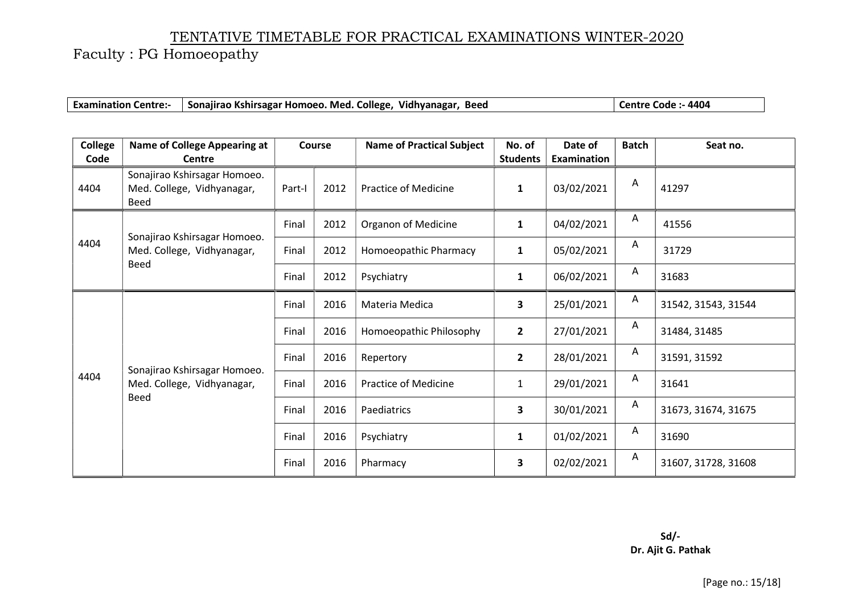|  | Examination Centre:- Sonajirao Kshirsagar Homoeo. Med. College, Vidhyanagar, Beed |  | Centre Code :- 4404 |
|--|-----------------------------------------------------------------------------------|--|---------------------|
|--|-----------------------------------------------------------------------------------|--|---------------------|

| <b>College</b> | <b>Name of College Appearing at</b>                                | Course |      | <b>Name of Practical Subject</b> | No. of                  | Date of     | <b>Batch</b> | Seat no.            |
|----------------|--------------------------------------------------------------------|--------|------|----------------------------------|-------------------------|-------------|--------------|---------------------|
| Code           | Centre                                                             |        |      |                                  | <b>Students</b>         | Examination |              |                     |
| 4404           | Sonajirao Kshirsagar Homoeo.<br>Med. College, Vidhyanagar,<br>Beed | Part-I | 2012 | Practice of Medicine             | $\mathbf{1}$            | 03/02/2021  | A            | 41297               |
|                | Sonajirao Kshirsagar Homoeo.                                       | Final  | 2012 | Organon of Medicine              | $\mathbf{1}$            | 04/02/2021  | $\mathsf{A}$ | 41556               |
| 4404           | Med. College, Vidhyanagar,                                         | Final  | 2012 | Homoeopathic Pharmacy            | $\mathbf{1}$            | 05/02/2021  | $\mathsf{A}$ | 31729               |
|                | <b>Beed</b>                                                        | Final  | 2012 | Psychiatry                       | $\mathbf{1}$            | 06/02/2021  | Α            | 31683               |
|                |                                                                    | Final  | 2016 | Materia Medica                   | $\overline{\mathbf{3}}$ | 25/01/2021  | Α            | 31542, 31543, 31544 |
|                |                                                                    | Final  | 2016 | Homoeopathic Philosophy          | $\overline{2}$          | 27/01/2021  | $\mathsf{A}$ | 31484, 31485        |
|                |                                                                    | Final  | 2016 | Repertory                        | $\overline{2}$          | 28/01/2021  | Α            | 31591, 31592        |
| 4404           | Sonajirao Kshirsagar Homoeo.<br>Med. College, Vidhyanagar,<br>Beed | Final  | 2016 | <b>Practice of Medicine</b>      | $\mathbf{1}$            | 29/01/2021  | Α            | 31641               |
|                |                                                                    | Final  | 2016 | Paediatrics                      | 3                       | 30/01/2021  | Α            | 31673, 31674, 31675 |
|                |                                                                    | Final  | 2016 | Psychiatry                       | $\mathbf{1}$            | 01/02/2021  | Α            | 31690               |
|                |                                                                    | Final  | 2016 | Pharmacy                         | $\overline{\mathbf{3}}$ | 02/02/2021  | A            | 31607, 31728, 31608 |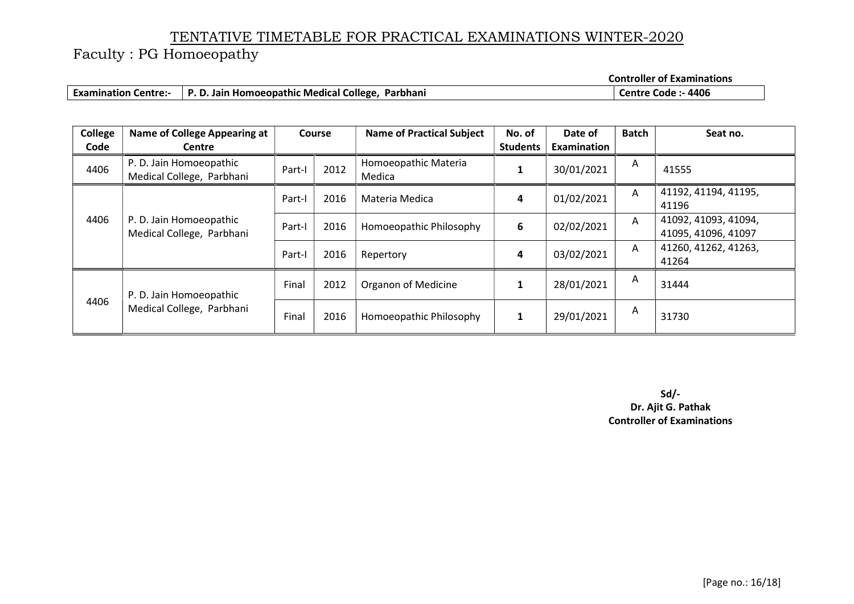Faculty : PG Homoeopathy

Controller of Examinations

| <b>Examination Centre:-</b> | P. D. Jain Homoeopathic Medical College, Parbhani | :- 4406<br>Centre Code : |
|-----------------------------|---------------------------------------------------|--------------------------|
|-----------------------------|---------------------------------------------------|--------------------------|

| College | <b>Name of College Appearing at</b>                  |        | <b>Course</b> | <b>Name of Practical Subject</b> | No. of          | Date of     | <b>Batch</b> | Seat no.                                    |
|---------|------------------------------------------------------|--------|---------------|----------------------------------|-----------------|-------------|--------------|---------------------------------------------|
| Code    | <b>Centre</b>                                        |        |               |                                  | <b>Students</b> | Examination |              |                                             |
| 4406    | P. D. Jain Homoeopathic<br>Medical College, Parbhani | Part-I | 2012          | Homoeopathic Materia<br>Medica   |                 | 30/01/2021  | A            | 41555                                       |
| 4406    | P. D. Jain Homoeopathic<br>Medical College, Parbhani | Part-I | 2016          | Materia Medica                   | 4               | 01/02/2021  | A            | 41192, 41194, 41195,<br>41196               |
|         |                                                      | Part-I | 2016          | Homoeopathic Philosophy          | 6               | 02/02/2021  | A            | 41092, 41093, 41094,<br>41095, 41096, 41097 |
|         |                                                      | Part-I | 2016          | Repertory                        | 4               | 03/02/2021  | A            | 41260, 41262, 41263,<br>41264               |
| 4406    | P. D. Jain Homoeopathic<br>Medical College, Parbhani | Final  | 2012          | Organon of Medicine              | $\mathbf{1}$    | 28/01/2021  | A            | 31444                                       |
|         |                                                      | Final  | 2016          | Homoeopathic Philosophy          |                 | 29/01/2021  | Α            | 31730                                       |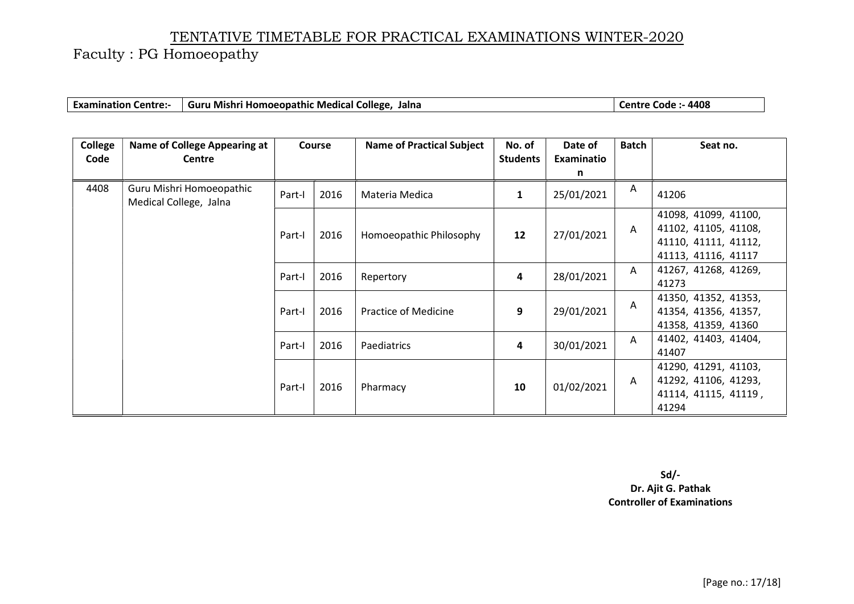Faculty : PG Homoeopathy

| <b>Examin</b><br>Centre: | 'i Homoeopathic Medical College.<br>- Guru Mishri I.<br>Jalna | $-4408$<br>ode<br>entre. |
|--------------------------|---------------------------------------------------------------|--------------------------|
|                          |                                                               |                          |

| College | <b>Name of College Appearing at</b>                | <b>Course</b> |      | <b>Name of Practical Subject</b> | No. of          | Date of    | <b>Batch</b> | Seat no.                                                                                    |
|---------|----------------------------------------------------|---------------|------|----------------------------------|-----------------|------------|--------------|---------------------------------------------------------------------------------------------|
| Code    | Centre                                             |               |      |                                  | <b>Students</b> | Examinatio |              |                                                                                             |
|         |                                                    |               |      |                                  |                 | n          |              |                                                                                             |
| 4408    | Guru Mishri Homoeopathic<br>Medical College, Jalna | Part-I        | 2016 | Materia Medica                   | 1               | 25/01/2021 | Α            | 41206                                                                                       |
|         |                                                    | Part-I        | 2016 | Homoeopathic Philosophy          | 12              | 27/01/2021 | A            | 41098, 41099, 41100,<br>41102, 41105, 41108,<br>41110, 41111, 41112,<br>41113, 41116, 41117 |
|         |                                                    | Part-I        | 2016 | Repertory                        | 4               | 28/01/2021 | $\mathsf{A}$ | 41267, 41268, 41269,<br>41273                                                               |
|         |                                                    | Part-I        | 2016 | <b>Practice of Medicine</b>      | 9               | 29/01/2021 | Α            | 41350, 41352, 41353,<br>41354, 41356, 41357,<br>41358, 41359, 41360                         |
|         |                                                    | Part-I        | 2016 | Paediatrics                      | 4               | 30/01/2021 | A            | 41402, 41403, 41404,<br>41407                                                               |
|         |                                                    | Part-I        | 2016 | Pharmacy                         | 10              | 01/02/2021 | A            | 41290, 41291, 41103,<br>41292, 41106, 41293,<br>41114, 41115, 41119,<br>41294               |